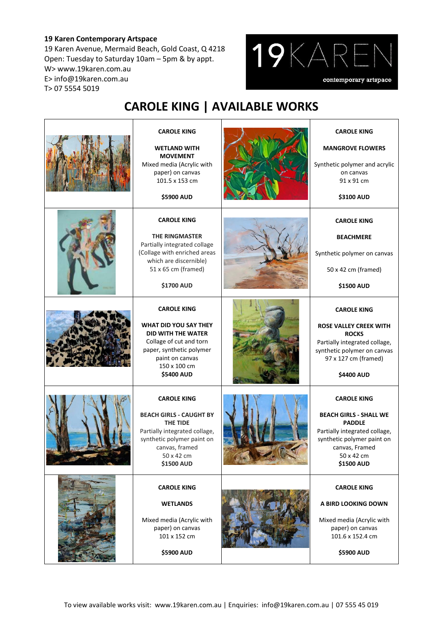## **19 Karen Contemporary Artspace**

19 Karen Avenue, Mermaid Beach, Gold Coast, Q 4218 Open: Tuesday to Saturday 10am – 5pm & by appt. W> www.19karen.com.au E> info@19karen.com.au T> 07 5554 5019



## **CAROLE KING | AVAILABLE WORKS**

| <b>CAROLE KING</b><br><b>WETLAND WITH</b><br><b>MOVEMENT</b><br>Mixed media (Acrylic with<br>paper) on canvas<br>101.5 x 153 cm<br>\$5900 AUD                                               | <b>CAROLE KING</b><br><b>MANGROVE FLOWERS</b><br>Synthetic polymer and acrylic<br>on canvas<br>91 x 91 cm<br>\$3100 AUD                                                                  |
|---------------------------------------------------------------------------------------------------------------------------------------------------------------------------------------------|------------------------------------------------------------------------------------------------------------------------------------------------------------------------------------------|
| <b>CAROLE KING</b><br><b>THE RINGMASTER</b><br>Partially integrated collage<br>(Collage with enriched areas<br>which are discernible)<br>51 x 65 cm (framed)<br><b>\$1700 AUD</b>           | <b>CAROLE KING</b><br><b>BEACHMERE</b><br>Synthetic polymer on canvas<br>50 x 42 cm (framed)<br>\$1500 AUD                                                                               |
| <b>CAROLE KING</b><br>WHAT DID YOU SAY THEY<br><b>DID WITH THE WATER</b><br>Collage of cut and torn<br>paper, synthetic polymer<br>paint on canvas<br>150 x 100 cm<br><b>\$5400 AUD</b>     | <b>CAROLE KING</b><br><b>ROSE VALLEY CREEK WITH</b><br><b>ROCKS</b><br>Partially integrated collage,<br>synthetic polymer on canvas<br>97 x 127 cm (framed)<br>\$4400 AUD                |
| <b>CAROLE KING</b><br><b>BEACH GIRLS - CAUGHT BY</b><br><b>THE TIDE</b><br>Partially integrated collage,<br>synthetic polymer paint on<br>canvas, framed<br>50 x 42 cm<br><b>\$1500 AUD</b> | <b>CAROLE KING</b><br><b>BEACH GIRLS - SHALL WE</b><br><b>PADDLE</b><br>Partially integrated collage,<br>synthetic polymer paint on<br>canvas, Framed<br>50 x 42 cm<br><b>\$1500 AUD</b> |
| <b>CAROLE KING</b><br><b>WETLANDS</b><br>Mixed media (Acrylic with<br>paper) on canvas<br>101 x 152 cm<br>\$5900 AUD                                                                        | <b>CAROLE KING</b><br>A BIRD LOOKING DOWN<br>Mixed media (Acrylic with<br>paper) on canvas<br>101.6 x 152.4 cm<br>\$5900 AUD                                                             |